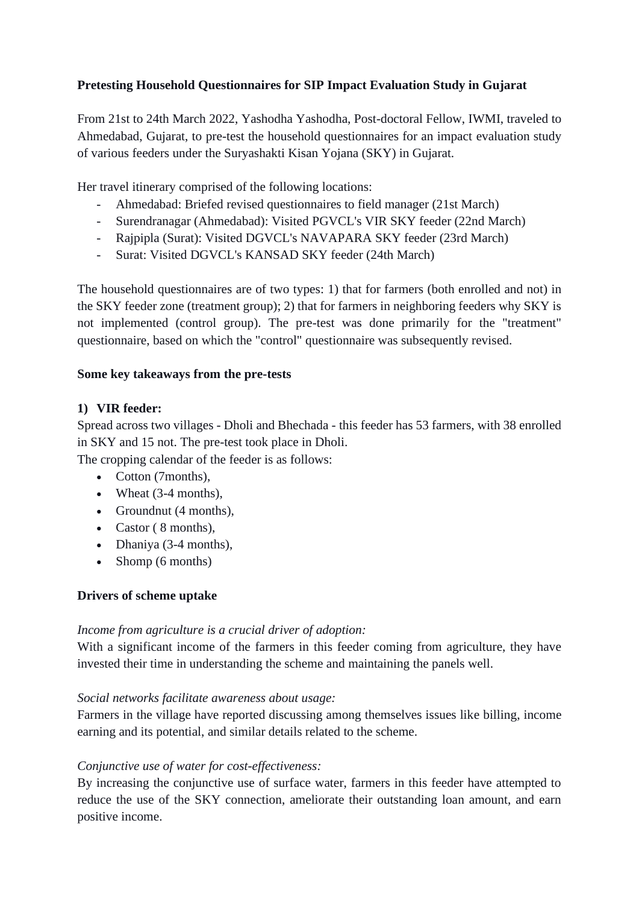# **Pretesting Household Questionnaires for SIP Impact Evaluation Study in Gujarat**

From 21st to 24th March 2022, Yashodha Yashodha, Post-doctoral Fellow, IWMI, traveled to Ahmedabad, Gujarat, to pre-test the household questionnaires for an impact evaluation study of various feeders under the Suryashakti Kisan Yojana (SKY) in Gujarat.

Her travel itinerary comprised of the following locations:

- Ahmedabad: Briefed revised questionnaires to field manager (21st March)
- Surendranagar (Ahmedabad): Visited PGVCL's VIR SKY feeder (22nd March)
- Rajpipla (Surat): Visited DGVCL's NAVAPARA SKY feeder (23rd March)
- Surat: Visited DGVCL's KANSAD SKY feeder (24th March)

The household questionnaires are of two types: 1) that for farmers (both enrolled and not) in the SKY feeder zone (treatment group); 2) that for farmers in neighboring feeders why SKY is not implemented (control group). The pre-test was done primarily for the "treatment" questionnaire, based on which the "control" questionnaire was subsequently revised.

#### **Some key takeaways from the pre-tests**

### **1) VIR feeder:**

Spread across two villages - Dholi and Bhechada - this feeder has 53 farmers, with 38 enrolled in SKY and 15 not. The pre-test took place in Dholi.

The cropping calendar of the feeder is as follows:

- Cotton (7months).
- Wheat (3-4 months),
- Groundnut (4 months),
- Castor (8 months).
- Dhaniya (3-4 months),
- Shomp (6 months)

#### **Drivers of scheme uptake**

#### *Income from agriculture is a crucial driver of adoption:*

With a significant income of the farmers in this feeder coming from agriculture, they have invested their time in understanding the scheme and maintaining the panels well.

#### *Social networks facilitate awareness about usage:*

Farmers in the village have reported discussing among themselves issues like billing, income earning and its potential, and similar details related to the scheme.

#### *Conjunctive use of water for cost-effectiveness:*

By increasing the conjunctive use of surface water, farmers in this feeder have attempted to reduce the use of the SKY connection, ameliorate their outstanding loan amount, and earn positive income.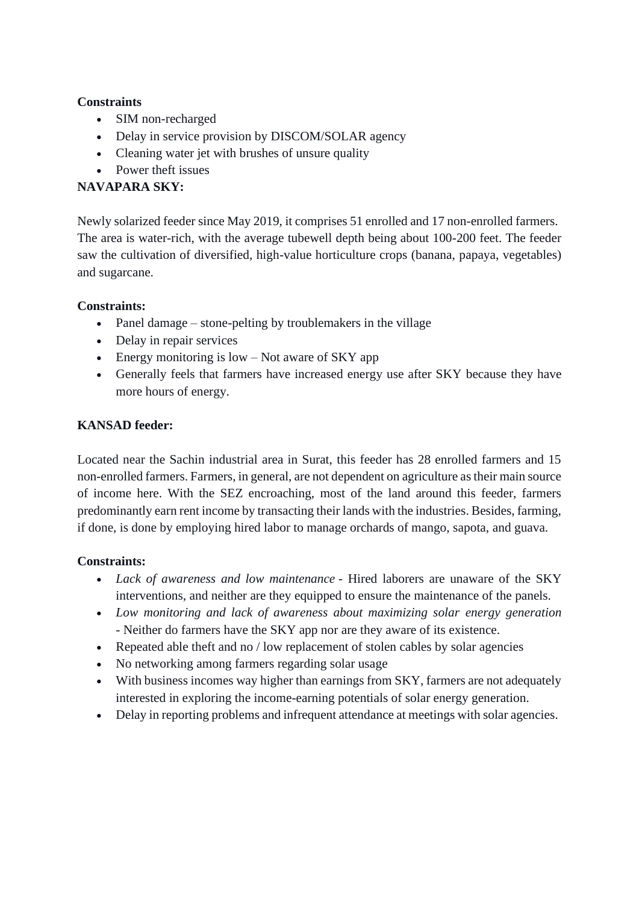#### **Constraints**

- SIM non-recharged
- Delay in service provision by DISCOM/SOLAR agency
- Cleaning water jet with brushes of unsure quality
- Power theft issues

# **NAVAPARA SKY:**

Newly solarized feeder since May 2019, it comprises 51 enrolled and 17 non-enrolled farmers. The area is water-rich, with the average tubewell depth being about 100-200 feet. The feeder saw the cultivation of diversified, high-value horticulture crops (banana, papaya, vegetables) and sugarcane.

# **Constraints:**

- Panel damage stone-pelting by troublemakers in the village
- Delay in repair services
- Energy monitoring is low Not aware of SKY app
- Generally feels that farmers have increased energy use after SKY because they have more hours of energy.

### **KANSAD feeder:**

Located near the Sachin industrial area in Surat, this feeder has 28 enrolled farmers and 15 non-enrolled farmers. Farmers, in general, are not dependent on agriculture as their main source of income here. With the SEZ encroaching, most of the land around this feeder, farmers predominantly earn rent income by transacting their lands with the industries. Besides, farming, if done, is done by employing hired labor to manage orchards of mango, sapota, and guava.

# **Constraints:**

- *Lack of awareness and low maintenance* Hired laborers are unaware of the SKY interventions, and neither are they equipped to ensure the maintenance of the panels.
- *Low monitoring and lack of awareness about maximizing solar energy generation -* Neither do farmers have the SKY app nor are they aware of its existence.
- Repeated able theft and no / low replacement of stolen cables by solar agencies
- No networking among farmers regarding solar usage
- With business incomes way higher than earnings from SKY, farmers are not adequately interested in exploring the income-earning potentials of solar energy generation.
- Delay in reporting problems and infrequent attendance at meetings with solar agencies.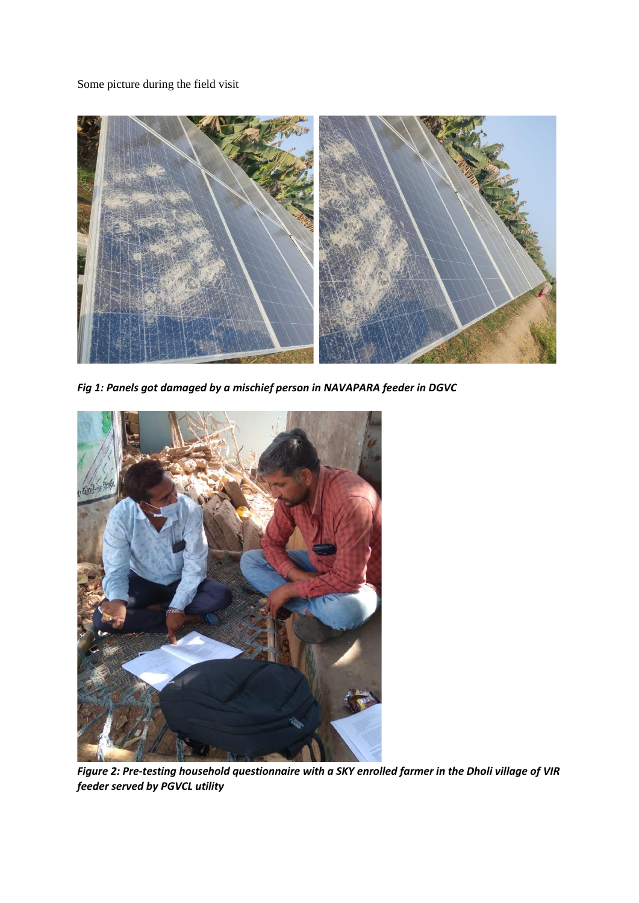Some picture during the field visit



*Fig 1: Panels got damaged by a mischief person in NAVAPARA feeder in DGVC* 



*Figure 2: Pre-testing household questionnaire with a SKY enrolled farmer in the Dholi village of VIR feeder served by PGVCL utility*